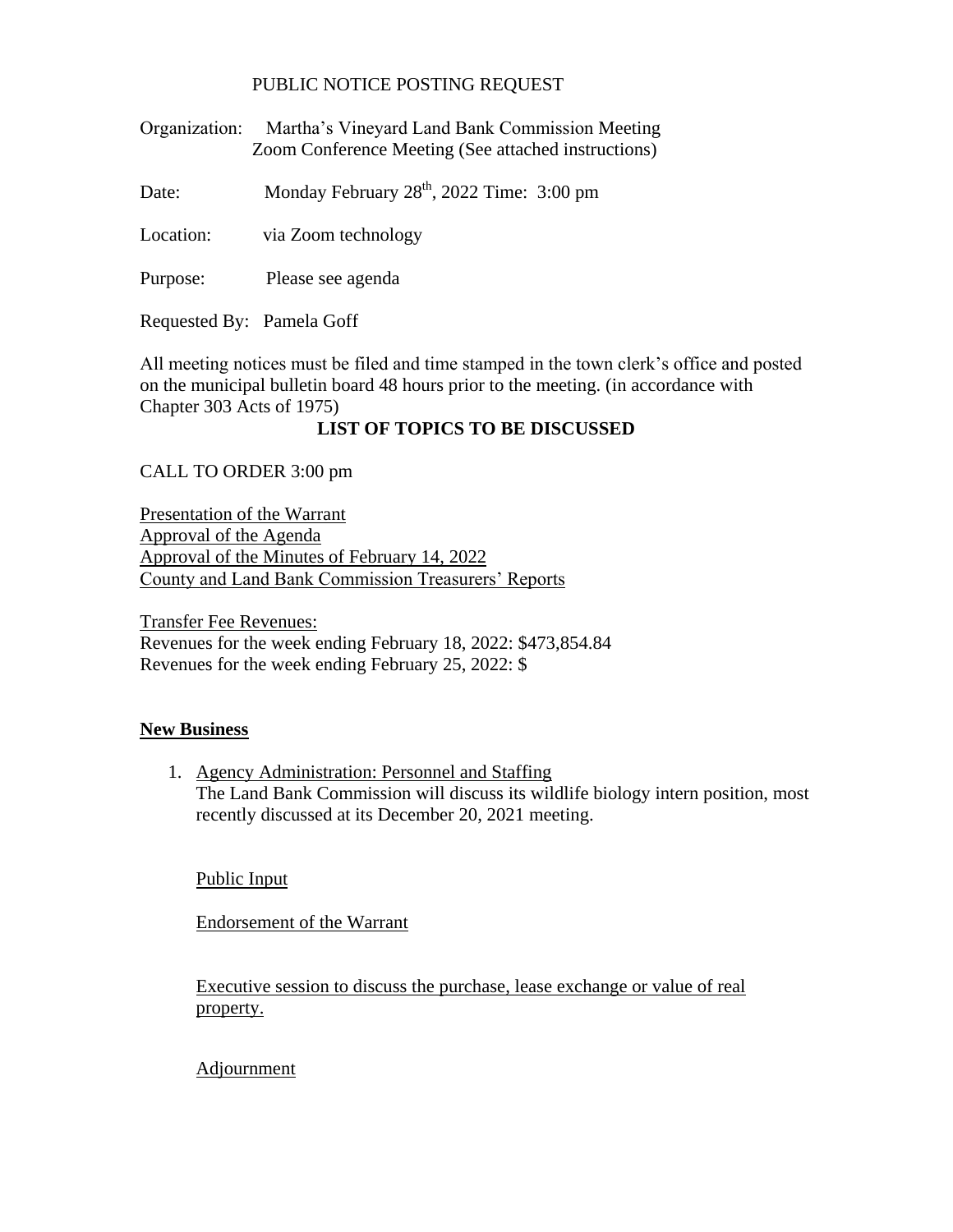## PUBLIC NOTICE POSTING REQUEST

Organization: Martha's Vineyard Land Bank Commission Meeting Zoom Conference Meeting (See attached instructions)

Date: Monday February  $28<sup>th</sup>$ ,  $2022$  Time: 3:00 pm

Location: via Zoom technology

Purpose: Please see agenda

Requested By: Pamela Goff

All meeting notices must be filed and time stamped in the town clerk's office and posted on the municipal bulletin board 48 hours prior to the meeting. (in accordance with Chapter 303 Acts of 1975)

## **LIST OF TOPICS TO BE DISCUSSED**

CALL TO ORDER 3:00 pm

Presentation of the Warrant Approval of the Agenda Approval of the Minutes of February 14, 2022 County and Land Bank Commission Treasurers' Reports

Transfer Fee Revenues: Revenues for the week ending February 18, 2022: \$473,854.84 Revenues for the week ending February 25, 2022: \$

## **New Business**

1. Agency Administration: Personnel and Staffing The Land Bank Commission will discuss its wildlife biology intern position, most recently discussed at its December 20, 2021 meeting.

Public Input

Endorsement of the Warrant

Executive session to discuss the purchase, lease exchange or value of real property.

Adjournment